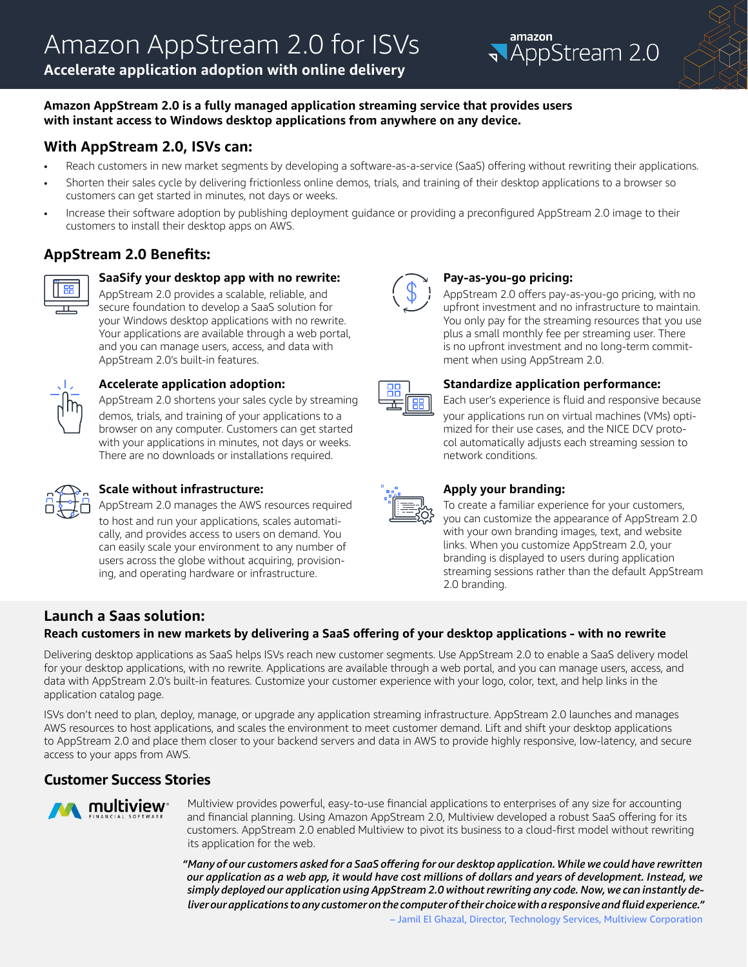**Accelerate application adoption with online delivery**





### **Amazon AppStream 2.0 is a fully managed application streaming service that provides users with instant access to Windows desktop applications from anywhere on any device.**

## **With AppStream 2.0, ISVs can:**

- Reach customers in new market segments by developing a software-as-a-service (SaaS) offering without rewriting their applications.
- Shorten their sales cycle by delivering frictionless online demos, trials, and training of their desktop applications to a browser so customers can get started in minutes, not days or weeks.
- Increase their software adoption by publishing deployment guidance or providing a preconfigured AppStream 2.0 image to their customers to install their desktop apps on AWS.

## **AppStream 2.0 Benefits:**



### **SaaSify your desktop app with no rewrite:**

AppStream 2.0 provides a scalable, reliable, and secure foundation to develop a SaaS solution for your Windows desktop applications with no rewrite. Your applications are available through a web portal, and you can manage users, access, and data with AppStream 2.0's built-in features.



### **Accelerate application adoption:**

AppStream 2.0 shortens your sales cycle by streaming demos, trials, and training of your applications to a browser on any computer. Customers can get started with your applications in minutes, not days or weeks. There are no downloads or installations required.



## **Scale without infrastructure:**

AppStream 2.0 manages the AWS resources required to host and run your applications, scales automatically, and provides access to users on demand. You can easily scale your environment to any number of users across the globe without acquiring, provisioning, and operating hardware or infrastructure.



#### **Pay-as-you-go pricing:**

AppStream 2.0 offers pay-as-you-go pricing, with no upfront investment and no infrastructure to maintain. You only pay for the streaming resources that you use plus a small monthly fee per streaming user. There is no upfront investment and no long-term commitment when using AppStream 2.0.



### **Standardize application performance:**

Each user's experience is fluid and responsive because your applications run on virtual machines (VMs) optimized for their use cases, and the NICE DCV protocol automatically adjusts each streaming session to network conditions.



### **Apply your branding:**

To create a familiar experience for your customers, you can customize the appearance of AppStream 2.0 with your own branding images, text, and website links. When you customize AppStream 2.0, your branding is displayed to users during application streaming sessions rather than the default AppStream 2.0 branding.

## **Launch a Saas solution:**

## **Reach customers in new markets by delivering a SaaS offering of your desktop applications - with no rewrite**

Delivering desktop applications as SaaS helps ISVs reach new customer segments. Use AppStream 2.0 to enable a SaaS delivery model for your desktop applications, with no rewrite. Applications are available through a web portal, and you can manage users, access, and data with AppStream 2.0's built-in features. Customize your customer experience with your logo, color, text, and help links in the application catalog page.

ISVs don't need to plan, deploy, manage, or upgrade any application streaming infrastructure. AppStream 2.0 launches and manages AWS resources to host applications, and scales the environment to meet customer demand. Lift and shift your desktop applications to AppStream 2.0 and place them closer to your backend servers and data in AWS to provide highly responsive, low-latency, and secure access to your apps from AWS.

## **Customer Success Stories**



Multiview provides powerful, easy-to-use financial applications to enterprises of any size for accounting and financial planning. Using Amazon AppStream 2.0, Multiview developed a robust SaaS offering for its customers. AppStream 2.0 enabled Multiview to pivot its business to a cloud-first model without rewriting its application for the web.

*"Many of our customers asked for a SaaS offering for our desktop application. While we could have rewritten our application as a web app, it would have cost millions of dollars and years of development. Instead, we simply deployed our application using AppStream 2.0 without rewriting any code. Now, we can instantly deliver our applications to any customer on the computer of their choice with a responsive and fluid experience."*